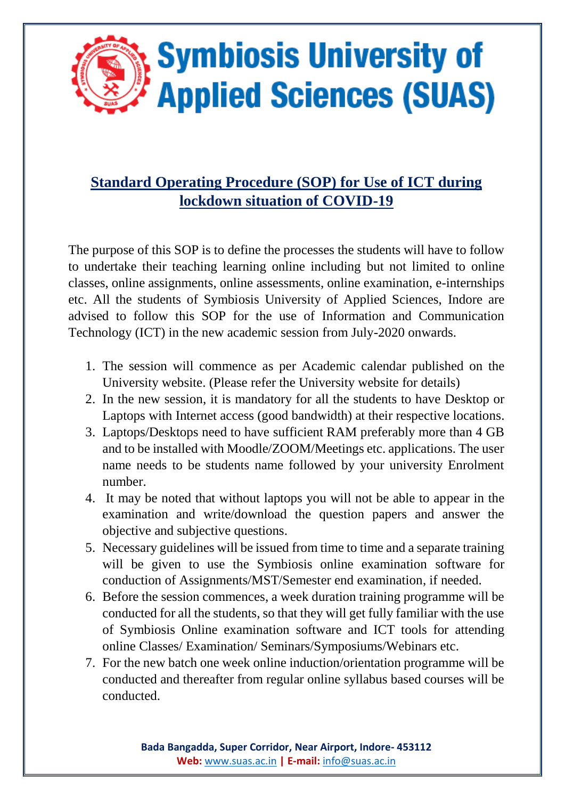

## **Standard Operating Procedure (SOP) for Use of ICT during lockdown situation of COVID-19**

The purpose of this SOP is to define the processes the students will have to follow to undertake their teaching learning online including but not limited to online classes, online assignments, online assessments, online examination, e-internships etc. All the students of Symbiosis University of Applied Sciences, Indore are advised to follow this SOP for the use of Information and Communication Technology (ICT) in the new academic session from July-2020 onwards.

- 1. The session will commence as per Academic calendar published on the University website. (Please refer the University website for details)
- 2. In the new session, it is mandatory for all the students to have Desktop or Laptops with Internet access (good bandwidth) at their respective locations.
- 3. Laptops/Desktops need to have sufficient RAM preferably more than 4 GB and to be installed with Moodle/ZOOM/Meetings etc. applications. The user name needs to be students name followed by your university Enrolment number.
- 4. It may be noted that without laptops you will not be able to appear in the examination and write/download the question papers and answer the objective and subjective questions.
- 5. Necessary guidelines will be issued from time to time and a separate training will be given to use the Symbiosis online examination software for conduction of Assignments/MST/Semester end examination, if needed.
- 6. Before the session commences, a week duration training programme will be conducted for all the students, so that they will get fully familiar with the use of Symbiosis Online examination software and ICT tools for attending online Classes/ Examination/ Seminars/Symposiums/Webinars etc.
- 7. For the new batch one week online induction/orientation programme will be conducted and thereafter from regular online syllabus based courses will be conducted.